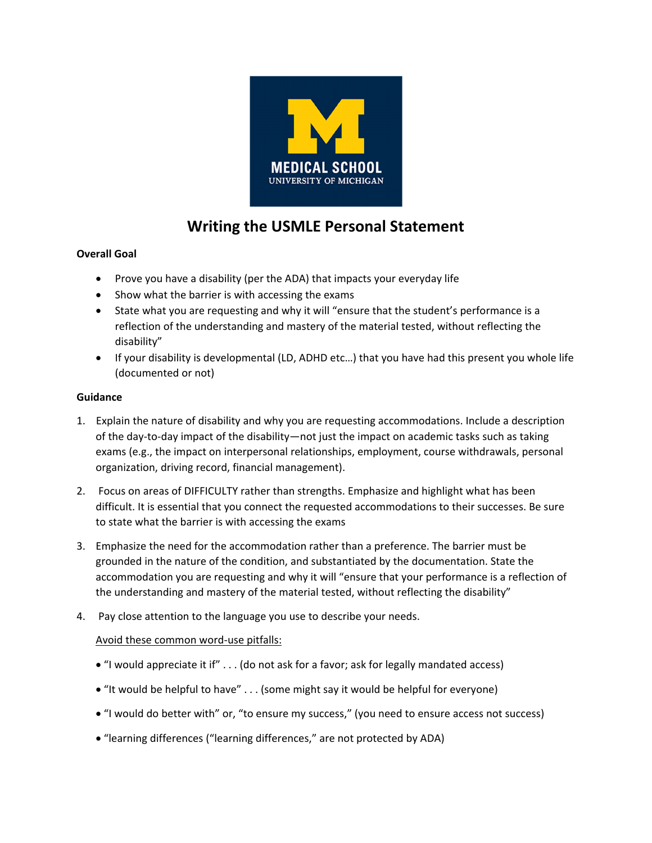

# **Writing the USMLE Personal Statement**

# **Overall Goal**

- Prove you have a disability (per the ADA) that impacts your everyday life
- Show what the barrier is with accessing the exams
- State what you are requesting and why it will "ensure that the student's performance is a reflection of the understanding and mastery of the material tested, without reflecting the disability"
- If your disability is developmental (LD, ADHD etc…) that you have had this present you whole life (documented or not)

### **Guidance**

- 1. Explain the nature of disability and why you are requesting accommodations. Include a description of the day-to-day impact of the disability—not just the impact on academic tasks such as taking exams (e.g., the impact on interpersonal relationships, employment, course withdrawals, personal organization, driving record, financial management).
- 2. Focus on areas of DIFFICULTY rather than strengths. Emphasize and highlight what has been difficult. It is essential that you connect the requested accommodations to their successes. Be sure to state what the barrier is with accessing the exams
- 3. Emphasize the need for the accommodation rather than a preference. The barrier must be grounded in the nature of the condition, and substantiated by the documentation. State the accommodation you are requesting and why it will "ensure that your performance is a reflection of the understanding and mastery of the material tested, without reflecting the disability"
- 4. Pay close attention to the language you use to describe your needs.

## Avoid these common word‐use pitfalls:

- "I would appreciate it if" . . . (do not ask for a favor; ask for legally mandated access)
- "It would be helpful to have" . . . (some might say it would be helpful for everyone)
- "I would do better with" or, "to ensure my success," (you need to ensure access not success)
- "learning differences ("learning differences," are not protected by ADA)